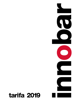# tarifa 2019

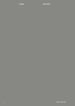innobar tarifa 2019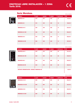IVA no incluido.

#### Serie Mendoza.



| <b>MODELO</b>        | <b>ALTO</b> | <b>ANCHO</b> | <b>FONDO</b> | <b>BOTELLAS</b> | <b>PVP</b> |
|----------------------|-------------|--------------|--------------|-----------------|------------|
| <b>MENDOZA-35</b>    | 645         | 260          | 495          | 12 <sub>2</sub> | 167,00 €   |
| <b>MENDOZA-48</b>    | 510         | 430          | 480          | 16              | 188,00 €   |
| <b>MENDOZA-46 C</b>  | 520         | 430          | 480          | 14              | 234,00 €   |
| <b>MENDOZA-46 CM</b> | 520         | 430          | 480          | 14              | 252,00 €   |
| <b>MENDOZA-46 I</b>  | 520         | 430          | 480          | 14              | 258,00 €   |
| <b>MENDOZA-46 IM</b> | 520         | 430          | 480          | 14              | 267,00 €   |



|                                                 |             |              |              |                 | IVA no incluido. |  |
|-------------------------------------------------|-------------|--------------|--------------|-----------------|------------------|--|
| <b>MODELO</b>                                   | <b>ALTO</b> | <b>ANCHO</b> | <b>FONDO</b> | <b>BOTELLAS</b> | <b>PVP</b>       |  |
| <b>MENDOZA-88 C</b>                             | 832         | 430          | 480          | 28              | 301,00 €         |  |
| <b>MENDOZA-88 CM</b>                            | 832         | 430          | 480          | 28              | 339,00 €         |  |
| <b>MENDOZA-881</b>                              | 832         | 430          | 480          | 28              | 335,00 €         |  |
| <b>MENDOZA-88 IM</b>                            | 832         | 430          | 480          | 28              | 366,00 €         |  |
| <b>ESTANTE PRESENTACIÓN / MODELO MENDOZA-88</b> |             |              |              |                 |                  |  |

IVA no incluido.



| <b>MODELO</b>         | <b>ALTO</b> | <b>ANCHO</b> | <b>FONDO</b> | <b>BOTELLAS</b> | <b>PVP</b> |
|-----------------------|-------------|--------------|--------------|-----------------|------------|
| <b>MENDOZA-130 C</b>  | 850         | 550          | 560          | 40              | 395,00 €   |
| <b>MENDOZA-130 CM</b> | 850         | 550          | 560          | 40              | 420,00 €   |
| <b>MENDOZA-130 I</b>  | 850         | 550          | 560          | 40              | 420,00 €   |
| <b>MENDOZA-130 IM</b> | 850         | 550          | 560          | 40              | 440,00 €   |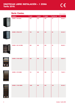#### Serie Caviss. In the Serie Caviss.

|                                                                                                                            |                             |             |              |              |                 | TVA TIO IFICIUIDO. |
|----------------------------------------------------------------------------------------------------------------------------|-----------------------------|-------------|--------------|--------------|-----------------|--------------------|
|                                                                                                                            | <b>MODELO</b>               | <b>ALTO</b> | <b>ANCHO</b> | <b>FONDO</b> | <b>BOTELLAS</b> | <b>PVP</b>         |
|                                                                                                                            | <b>CAVISS - SP118CFE</b>    | 660         | 350          | 490          | 18              | 220,00€            |
|                                                                                                                            | <b>CAVISS - SP128 CFE</b>   | 730         | 450          | 520          | 28              | 261,00€            |
|                                                                                                                            | <b>CAVISS - SN 130 KBE4</b> | 850         | 500          | 560          | 30              | 533,00 €           |
|                                                                                                                            | <b>CAVISS - S1150 GBE4</b>  | 825         | 525          | 607          | 50              | 525,00€            |
| <b>CONTROL</b><br>$\mathcal{L}_{\mathcal{A}}$<br>0.9.9.9.9.9.0<br>0.0, 0, 0, 0, 0<br>0,0,0,0,0,0<br>2.553333<br>33333      | <b>CAVISS - S178 GBE4</b>   | 114         | 620          | 595          | 78              | 716,00 €           |
| 2.313333<br><b><i><u>A. M. A. A. M. A. A. </u></i></b><br>333360<br>2010/01/2012<br>3000000<br>4, 4, 4, 4, 4, 4<br>3000000 | <b>CAVISS - C1100 GBE4</b>  | 1485        | 580          | 655          | 100             | 801,00€            |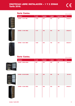IVA no incluido.

IVA no incluido.

#### Serie Caviss.



| <b>MODELO</b>              | <b>ALTO</b> | <b>ANCHO</b> | <b>FONDO</b> | <b>BOTELLAS</b> | <b>PVP</b> |
|----------------------------|-------------|--------------|--------------|-----------------|------------|
| <b>CAVISS - V1131 CBE</b>  | 1.420       | 600          | 590          | 131             | 1.039,00 € |
| <b>CAVISS - C1199 CBE2</b> | 1.737       | 595          | 690          | 199             | 1.399,00 € |
| <b>CAVISS - V1221 GBE4</b> | 1.800       | 600          | 790          | 219             | 1.260,00 € |

#### Serie Caviss.





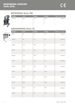

#### BATIDORAS Serie FM.

| <b>ALTO</b> | <b>ANCHO</b> | <b>FONDO</b> | PVP / IVA no incluido. |
|-------------|--------------|--------------|------------------------|
| 750         | 415          | 530          | 1.135,00 €             |
|             |              |              |                        |
|             |              |              |                        |
|             |              |              |                        |

#### AMASADORAS Serie IS.

|           | <b>MODELO</b> | <b>ALTO</b> | <b>ANCHO</b> | <b>FONDO</b> | PVP / IVA no incluido. |
|-----------|---------------|-------------|--------------|--------------|------------------------|
| Ō.        | $ISM-5$       | 50          | 24           | 50           | 918,00 €               |
| $\bullet$ | <b>ISM-10</b> | 50          | 26           | 50           | 993,00 €               |
|           | <b>ISM-15</b> | 72,5        | 38,5         | 67           | 1.157,00 €             |
|           | <b>IST-15</b> | 72,5        | 38,5         | 67           | 1.143,00 €             |
|           | <b>ISM-20</b> | 72,5        | 38,5         | 67           | 1.197,00 €             |
|           | <b>IST-20</b> | 72,5        | 38,5         | 67           | 1.197,00 €             |
|           | <b>ISM-30</b> | 80,5        | 42,4         | 73,5         | 1.436,00 €             |
|           | <b>IST-30</b> | 80,5        | 42,4         | 73,5         | 1.423,00 €             |
|           | <b>ISM-40</b> | 82,5        | 48           | 80,5         | 1.67600 €              |
|           | <b>IST-40</b> | 82,5        | 48           | 80,5         | 1.667,00 €             |
|           | <b>ISM-50</b> | 82,5        | 48           | 80,5         | 1.857,00 €             |
|           | <b>IST-50</b> | 82,5        | 48           | 80,5         | 1.844,00 €             |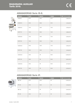#### AMASADORAS Serie IS-E.



| <b>MODELO</b>   | <b>ALTO</b> | <b>ANCHO</b> | <b>FONDO</b> | <b>PVP</b> / IVA no incluido. |
|-----------------|-------------|--------------|--------------|-------------------------------|
| IS-EM-5         | 67,5        | 38,5         | 67,5         | 1.383,00 €                    |
| <b>IS-EM-10</b> | 67,5        | 38,5         | 67,5         | 1.414,00 €                    |
| <b>IS-EM-15</b> | 72,5        | 38,5         | 72,5         | 1.578,00 €                    |
| <b>IS-ET-15</b> | 72,5        | 38,5         | 72,5         | 1.665,00 €                    |
| <b>IS-EM-20</b> | 72,5        | 38,5         | 72,5         | 1.644,00 €                    |
| <b>IS-ET-20</b> | 72,5        | 38,5         | 72,5         | 1.632,00 €                    |
| <b>IS-EM-30</b> | 80,5        | 42,5         | 73,5         | 1.933,00 €                    |
| <b>IS-ET-30</b> | 80,5        | 42,5         | 73,5         | 1.919,00 €                    |
| <b>IS-EM-40</b> | 82,5        | 48           | 80,5         | 2.035,00 €                    |
| <b>IS-ET-40</b> | 82,5        | 48           | 80,5         | 2.021,00 €                    |
| <b>IS-EM-50</b> | 82,5        | 48           | 80,5         | 2.119,00 €                    |
| <b>IS-ET-50</b> | 82,5        | 48           | 80,5         | 2.106,00 €                    |
|                 |             |              |              |                               |

a p

### AMASADORAS Serie IF.



I

| <b>MODELO</b> | <b>ALTO</b> | <b>ANCHO</b> | <b>FONDO</b> | <b>PVP</b> / IVA no incluido. |
|---------------|-------------|--------------|--------------|-------------------------------|
| <b>IMF-25</b> | 87,5        | 52,5         | 90           | 4.032,00 €                    |
| <b>ITF-25</b> | 87,5        | 52,5         | 90           | 4.148,00 €                    |
| <b>IMF-35</b> | 87,5        | 59           | 93           | 4.447,00 €                    |
| <b>ITF-35</b> | 87,5        | 59           | 93           | 4.580,00 €                    |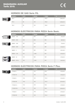#### HORNOS DE GAS Serie FG.



|  | <b>MODELO</b>   | <b>ALTO</b> | <b>ANCHO</b> | <b>FONDO</b> | <b>PVP</b> / IVA no incluido. |
|--|-----------------|-------------|--------------|--------------|-------------------------------|
|  | FG <sub>4</sub> | 56          | 100          | 106,2        | 2.863,00 €                    |
|  | FG <sub>6</sub> | 56          | 100          | 136,2        | $3.358,00 \in$                |
|  | FG <sub>9</sub> | 56          | 130          | 136,2        | 4.040,00 €                    |

## HORNOS ELÉCTRICOS PARA PIZZA Serie Basic.



|  | <b>MODELO</b>        | <b>ALTO</b> | <b>ANCHO</b> | <b>FONDO</b> | <b>PVP</b> / IVA no incluido. |
|--|----------------------|-------------|--------------|--------------|-------------------------------|
|  | <b>BASIC - 1/40</b>  | 280         | 568          | 500          | 513,00 €                      |
|  | <b>BASIC - 2/40</b>  | 430         | 568          | 500          | 667,00 €                      |
|  | <b>BASIC - 1/50</b>  | 357         | 915          | 690          | 770,00 €                      |
|  | <b>BASIC - 2/50</b>  | 527         | 915          | 690          | 1.166,00 €                    |
|  | <b>BASIC - 4</b>     | 415         | 980          | 935          | 1.001,00 €                    |
|  | <b>BASIC - 4 XL</b>  | 415         | 1.005        | 970          | 1.078,00 €                    |
|  | <b>BASIC - 44</b>    | 745         | 980          | 935          | 1.745,00 €                    |
|  | <b>BASIC - 44 XL</b> | 745         | 1.005        | 970          | 1.847,00 €                    |

## HORNOS ELÉCTRICOS PARA PIZZA Serie F Plus.

| <b>MODELO</b> | <b>ALTO</b> | <b>ANCHO</b> | <b>FONDO</b> | <b>PVP</b> / IVA no incluido. |
|---------------|-------------|--------------|--------------|-------------------------------|
| F PLUS 4      | 41,3        | 100          | 95,4         | 1.072,00 €                    |
| F PLUS 44     | 74,5        | 100          | 95,4         | 1.762,00 €                    |
| F PLUS 6      | 41,3        | 100          | 131,4        | 1.314,00 €                    |
| F PLUS 66     | 74,5        | 100          | 131,4        | 2.074,00 €                    |
| F PLUS 6 L    | 41,3        | 136          | 95,4         | 1.479,00 €                    |
| F PLUS 66 L   | 74,5        | 136          | 95,4         | 2.452,00 €                    |
| F PLUS 9      | 41,3        | 136          | 131,4        | 1.579,00 €                    |
| F PLUS 99     | 74,5        | 136          | 131,4        | 2.859,00 €                    |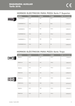## HORNOS ELÉCTRICOS PARA PIZZA Serie F Superior.



| <b>MODELO</b>          | <b>ALTO</b> | <b>ANCHO</b> | <b>FONDO</b> | PVP / IVA no incluido. |
|------------------------|-------------|--------------|--------------|------------------------|
| <b>F SUPERIOR 4</b>    | 41,3        | 100          | 95,4         | 1.418,00 €             |
| <b>F SUPERIOR 44</b>   | 74,5        | 100          | 95,4         | 2.220,00 €             |
| <b>F SUPERIOR 6</b>    | 41,3        | 100          | 131,4        | 1.683,00 €             |
| <b>F SUPERIOR 66</b>   | 74,5        | 100          | 131,4        | 2.647,00 €             |
| <b>F SUPERIOR 6 L</b>  | 41,3        | 136          | 94           | 1.899,00 €             |
| <b>F SUPERIOR 66 L</b> | 74,5        | 136          | 94           | 3.050,00 €             |

# HORNOS ELÉCTRICOS PARA PIZZA Serie Trays





| <b>MODELO</b>     | <b>ALTO</b> | <b>ANCHO</b> | <b>FONDO</b> | PVP / IVA no incluido. |
|-------------------|-------------|--------------|--------------|------------------------|
| <b>TRAYS 4</b>    | 41,3        | 110          | 107,4        | 1.135,00 €             |
| <b>TRAYS 44</b>   | 74,5        | 110          | 107,4        | 1.883,00 €             |
| <b>TRAYS 6</b>    | 41,3        | 110          | 131,4        | 1.422,00 €             |
| <b>TRAYS 66</b>   | 74,5        | 110          | 131,4        | 2.298,00 €             |
| <b>TRAYS 6 L</b>  | 41,3        | 150          | 107,4        | 1.592,00 €             |
| <b>TRAYS 66 L</b> | 74,5        | 150          | 107,4        | 2.672,00 €             |
| <b>TRAYS 9</b>    | 41,3        | 150          | 131,4        | 1.704,00 €             |
| <b>TRAYS 99</b>   | 74,5        | 150          | 131,4        | 3.063,00 €             |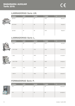#### LAMINADORAS Serie LM.



| <b>MODELO</b> | <b>ALTO</b> | <b>ANCHO</b> | <b>FONDO</b> | <b>PVP</b> / IVA no incluido. |
|---------------|-------------|--------------|--------------|-------------------------------|
| <b>LM 310</b> | 43          | 48           | 33,5         | 665,00 €                      |
| LM 310/2      | 41          | 85           | 32           | 723,00 €                      |
| <b>LM 500</b> | 43          | 65           | 34,5         | 769,00 €                      |

## LAMINADORAS Serie L.





|  | <b>MODELO</b> | <b>ALTO</b> | <b>ANCHO</b> | <b>FONDO</b> | PVP / IVA no incluido. |
|--|---------------|-------------|--------------|--------------|------------------------|
|  | L 310         | 66          | 47,5         | 37,5         | 977,00 €               |
|  | L 310 T.GO    | 66          | 47,5         | 37,5         | 1.048,00 €             |
|  | $L$ 420       | 79          | 58,5         | 43,5         | 1.114,00 €             |
|  | L 420 T.GO    | 79          | 58,5         | 43,5         | 1.168,00 €             |
|  | L 420 P       | 71,5        | 58,5         | 43,5         | 1.168,00 €             |
|  | L 500 P       | 71,5        | 66,5         | 43,5         | 1.226,00 €             |
|  |               |             |              |              |                        |

#### FORMADORAS Serie P.

|                | <b>MODELO</b> | <b>ALTO</b> | <b>ANCHO</b> | <b>FONDO</b> | <b>PVP</b> / IVA no incluido. |
|----------------|---------------|-------------|--------------|--------------|-------------------------------|
| <b>MARK MS</b> | $P-3$         | 50          | 56           | 50           | 4.281,00 €                    |
|                | $P-5$         | 86          | 67           | 55           | 5.138,00 €                    |